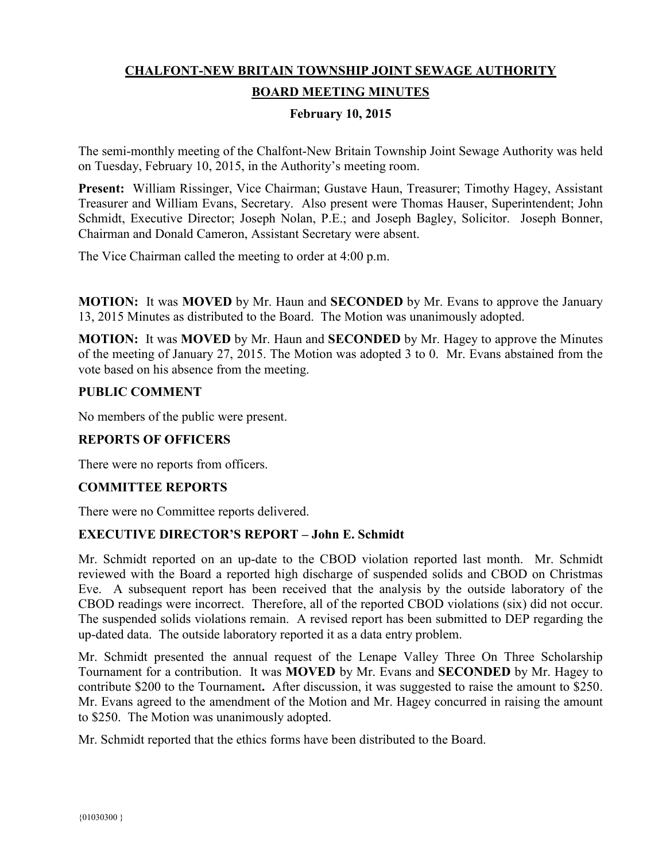# **CHALFONT-NEW BRITAIN TOWNSHIP JOINT SEWAGE AUTHORITY BOARD MEETING MINUTES**

# **February 10, 2015**

The semi-monthly meeting of the Chalfont-New Britain Township Joint Sewage Authority was held on Tuesday, February 10, 2015, in the Authority's meeting room.

**Present:** William Rissinger, Vice Chairman; Gustave Haun, Treasurer; Timothy Hagey, Assistant Treasurer and William Evans, Secretary. Also present were Thomas Hauser, Superintendent; John Schmidt, Executive Director; Joseph Nolan, P.E.; and Joseph Bagley, Solicitor. Joseph Bonner, Chairman and Donald Cameron, Assistant Secretary were absent.

The Vice Chairman called the meeting to order at 4:00 p.m.

**MOTION:** It was **MOVED** by Mr. Haun and **SECONDED** by Mr. Evans to approve the January 13, 2015 Minutes as distributed to the Board. The Motion was unanimously adopted.

**MOTION:** It was **MOVED** by Mr. Haun and **SECONDED** by Mr. Hagey to approve the Minutes of the meeting of January 27, 2015. The Motion was adopted 3 to 0. Mr. Evans abstained from the vote based on his absence from the meeting.

### **PUBLIC COMMENT**

No members of the public were present.

### **REPORTS OF OFFICERS**

There were no reports from officers.

### **COMMITTEE REPORTS**

There were no Committee reports delivered.

### **EXECUTIVE DIRECTOR'S REPORT – John E. Schmidt**

Mr. Schmidt reported on an up-date to the CBOD violation reported last month. Mr. Schmidt reviewed with the Board a reported high discharge of suspended solids and CBOD on Christmas Eve. A subsequent report has been received that the analysis by the outside laboratory of the CBOD readings were incorrect. Therefore, all of the reported CBOD violations (six) did not occur. The suspended solids violations remain. A revised report has been submitted to DEP regarding the up-dated data. The outside laboratory reported it as a data entry problem.

Mr. Schmidt presented the annual request of the Lenape Valley Three On Three Scholarship Tournament for a contribution. It was **MOVED** by Mr. Evans and **SECONDED** by Mr. Hagey to contribute \$200 to the Tournament. After discussion, it was suggested to raise the amount to \$250. Mr. Evans agreed to the amendment of the Motion and Mr. Hagey concurred in raising the amount to \$250. The Motion was unanimously adopted.

Mr. Schmidt reported that the ethics forms have been distributed to the Board.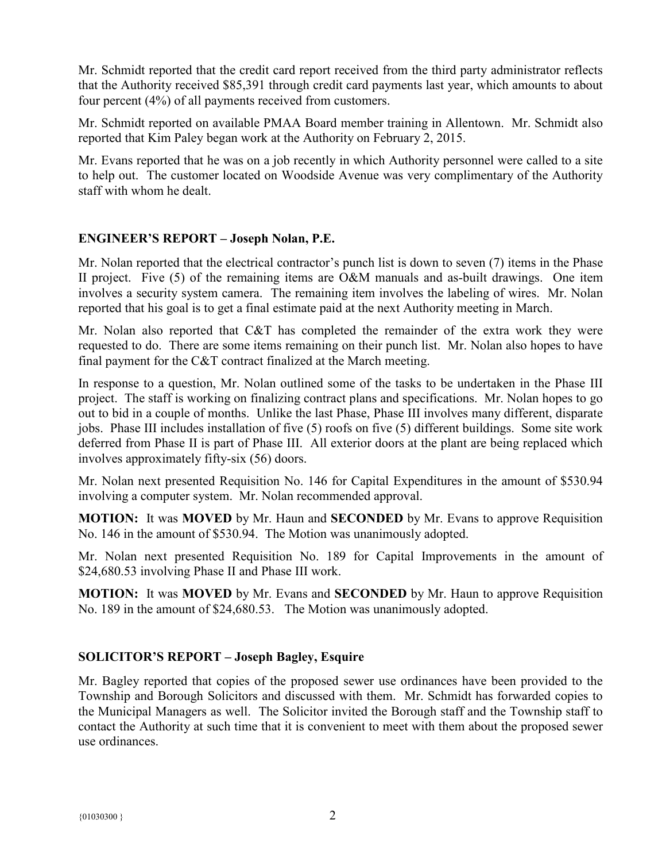Mr. Schmidt reported that the credit card report received from the third party administrator reflects that the Authority received \$85,391 through credit card payments last year, which amounts to about four percent (4%) of all payments received from customers.

Mr. Schmidt reported on available PMAA Board member training in Allentown. Mr. Schmidt also reported that Kim Paley began work at the Authority on February 2, 2015.

Mr. Evans reported that he was on a job recently in which Authority personnel were called to a site to help out. The customer located on Woodside Avenue was very complimentary of the Authority staff with whom he dealt.

## **ENGINEER'S REPORT – Joseph Nolan, P.E.**

Mr. Nolan reported that the electrical contractor's punch list is down to seven (7) items in the Phase II project. Five (5) of the remaining items are O&M manuals and as-built drawings. One item involves a security system camera. The remaining item involves the labeling of wires. Mr. Nolan reported that his goal is to get a final estimate paid at the next Authority meeting in March.

Mr. Nolan also reported that C&T has completed the remainder of the extra work they were requested to do. There are some items remaining on their punch list. Mr. Nolan also hopes to have final payment for the C&T contract finalized at the March meeting.

In response to a question, Mr. Nolan outlined some of the tasks to be undertaken in the Phase III project. The staff is working on finalizing contract plans and specifications. Mr. Nolan hopes to go out to bid in a couple of months. Unlike the last Phase, Phase III involves many different, disparate jobs. Phase III includes installation of five (5) roofs on five (5) different buildings. Some site work deferred from Phase II is part of Phase III. All exterior doors at the plant are being replaced which involves approximately fifty-six (56) doors.

Mr. Nolan next presented Requisition No. 146 for Capital Expenditures in the amount of \$530.94 involving a computer system. Mr. Nolan recommended approval.

**MOTION:** It was **MOVED** by Mr. Haun and **SECONDED** by Mr. Evans to approve Requisition No. 146 in the amount of \$530.94. The Motion was unanimously adopted.

Mr. Nolan next presented Requisition No. 189 for Capital Improvements in the amount of \$24,680.53 involving Phase II and Phase III work.

**MOTION:** It was **MOVED** by Mr. Evans and **SECONDED** by Mr. Haun to approve Requisition No. 189 in the amount of \$24,680.53. The Motion was unanimously adopted.

## **SOLICITOR'S REPORT – Joseph Bagley, Esquire**

Mr. Bagley reported that copies of the proposed sewer use ordinances have been provided to the Township and Borough Solicitors and discussed with them. Mr. Schmidt has forwarded copies to the Municipal Managers as well. The Solicitor invited the Borough staff and the Township staff to contact the Authority at such time that it is convenient to meet with them about the proposed sewer use ordinances.